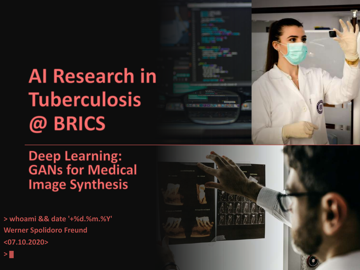# **Al Research in Tuberculosis** @ BRICS

**Deep Learning:<br>GANs for Medical Image Synthesis** 

> whoami && date '+%d.%m.%Y' **Werner Spolidoro Freund**  $<$ 07.10.2020>

 $>$  $\blacksquare$ 

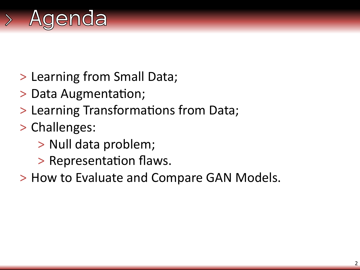

- > Learning from Small Data;
- > Data Augmentation;
- > Learning Transformations from Data;
- > Challenges:
	- > Null data problem;
	- > Representation flaws.
- > How to Evaluate and Compare GAN Models.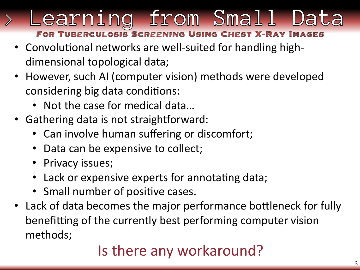# Learning from Small Da OSIS SCR

- Convolutional networks are well-suited for handling highdimensional topological data;
- However, such AI (computer vision) methods were developed considering big data conditions:
	- Not the case for medical data…
- Gathering data is not straightforward:
	- Can involve human suffering or discomfort;
	- Data can be expensive to collect;
	- Privacy issues;
	- Lack or expensive experts for annotating data;
	- Small number of positive cases.
- Lack of data becomes the major performance bottleneck for fully benefitting of the currently best performing computer vision methods;

# Is there any workaround?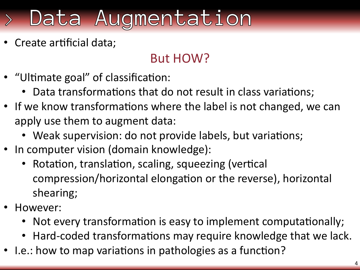# Data Augmentation

Create artificial data;

# But HOW?

- "Ultimate goal" of classification:
	- Data transformations that do not result in class variations;
- If we know transformations where the label is not changed, we can apply use them to augment data:
	- Weak supervision: do not provide labels, but variations;
- In computer vision (domain knowledge):
	- Rotation, translation, scaling, squeezing (vertical compression/horizontal elongation or the reverse), horizontal shearing;
- However:
	- Not every transformation is easy to implement computationally;
	- Hard-coded transformations may require knowledge that we lack.
- I.e.: how to map variations in pathologies as a function?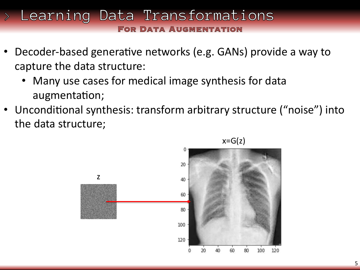## Learning Data Transformations **FOR DATA AUGMENTATION**

- Decoder-based generative networks (e.g. GANs) provide a way to capture the data structure:
	- Many use cases for medical image synthesis for data augmentation;
- Unconditional synthesis: transform arbitrary structure ("noise") into the data structure;

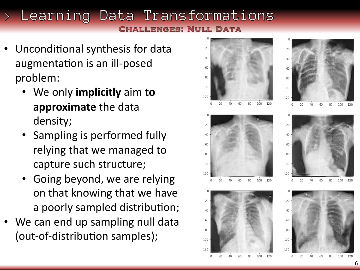# Learning Data Transformations ULL DATA

- Unconditional synthesis for data augmentation is an ill-posed problem:
	- We only **implicitly** aim **to approximate** the data density;
	- Sampling is performed fully relying that we managed to capture such structure;
	- Going beyond, we are relying on that knowing that we have a poorly sampled distribution;
- We can end up sampling null data (out-of-distribution samples);

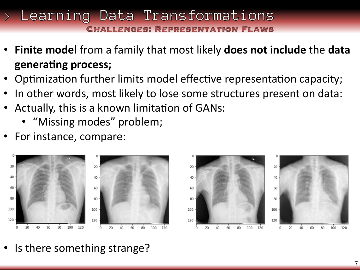## > Learning Data Transformations NGFS: REPRESENTAT

- **Finite model** from a family that most likely **does not include** the **data**  generating process;
- Optimization further limits model effective representation capacity;
- In other words, most likely to lose some structures present on data:
- Actually, this is a known limitation of GANs:
	- "Missing modes" problem;
- For instance, compare:







• Is there something strange?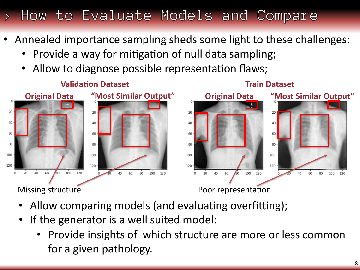# How to Evaluate Models and Compare

- Annealed importance sampling sheds some light to these challenges:
	- Provide a way for mitigation of null data sampling;
	- Allow to diagnose possible representation flaws;



- Allow comparing models (and evaluating overfitting);
- If the generator is a well suited model:
	- Provide insights of which structure are more or less common for a given pathology.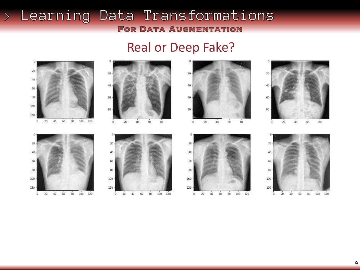#### > Learning Data Transformations **FOR DATA AUGMENTATION**

## Real or Deep Fake?

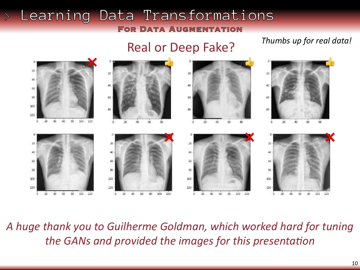#### Learning Data Transformations  $\left\langle \right\rangle$ **FOR DATA AUGMENTATION**

# Real or Deep Fake?

*Thumbs up for real data!*



*A huge thank you to Guilherme Goldman, which worked hard for tuning the GANs and provided the images for this presentation*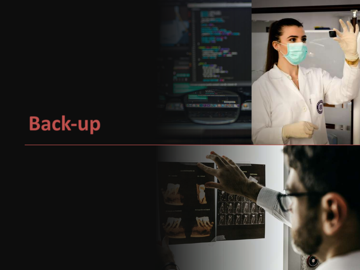